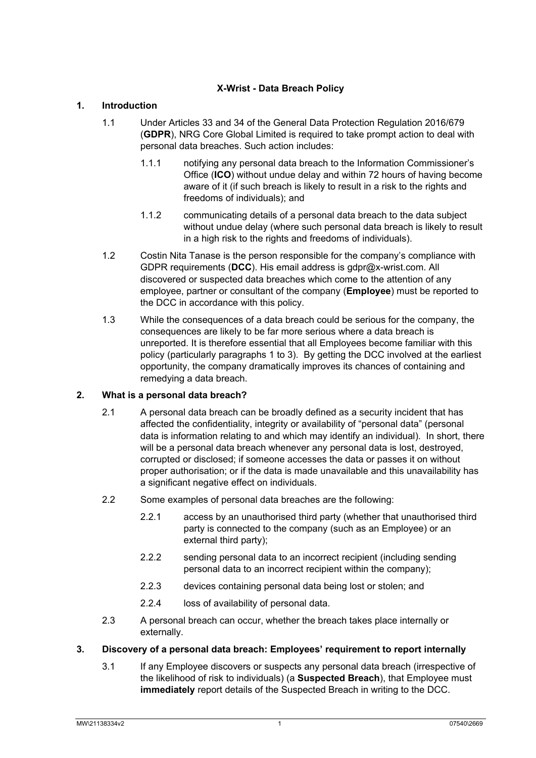# **X-Wrist - Data Breach Policy**

## <span id="page-0-0"></span>**1. Introduction**

- 1.1 Under Articles 33 and 34 of the General Data Protection Regulation 2016/679 (**GDPR**), NRG Core Global Limited is required to take prompt action to deal with personal data breaches. Such action includes:
	- 1.1.1 notifying any personal data breach to the Information Commissioner's Office (**ICO**) without undue delay and within 72 hours of having become aware of it (if such breach is likely to result in a risk to the rights and freedoms of individuals); and
	- 1.1.2 communicating details of a personal data breach to the data subject without undue delay (where such personal data breach is likely to result in a high risk to the rights and freedoms of individuals).
- 1.2 Costin Nita Tanase is the person responsible for the company's compliance with GDPR requirements (**DCC**). His email address is gdpr@x-wrist.com. All discovered or suspected data breaches which come to the attention of any employee, partner or consultant of the company (**Employee**) must be reported to the DCC in accordance with this policy.
- 1.3 While the consequences of a data breach could be serious for the company, the consequences are likely to be far more serious where a data breach is unreported. It is therefore essential that all Employees become familiar with this policy (particularly paragraphs [1](#page-0-0) to [3\)](#page-0-1). By getting the DCC involved at the earliest opportunity, the company dramatically improves its chances of containing and remedying a data breach.

## **2. What is a personal data breach?**

- 2.1 A personal data breach can be broadly defined as a security incident that has affected the confidentiality, integrity or availability of "personal data" (personal data is information relating to and which may identify an individual). In short, there will be a personal data breach whenever any personal data is lost, destroyed, corrupted or disclosed; if someone accesses the data or passes it on without proper authorisation; or if the data is made unavailable and this unavailability has a significant negative effect on individuals.
- 2.2 Some examples of personal data breaches are the following:
	- 2.2.1 access by an unauthorised third party (whether that unauthorised third party is connected to the company (such as an Employee) or an external third party);
	- 2.2.2 sending personal data to an incorrect recipient (including sending personal data to an incorrect recipient within the company);
	- 2.2.3 devices containing personal data being lost or stolen; and
	- 2.2.4 loss of availability of personal data.
- 2.3 A personal breach can occur, whether the breach takes place internally or externally.
- <span id="page-0-1"></span>**3. Discovery of a personal data breach: Employees' requirement to report internally**
	- 3.1 If any Employee discovers or suspects any personal data breach (irrespective of the likelihood of risk to individuals) (a **Suspected Breach**), that Employee must **immediately** report details of the Suspected Breach in writing to the DCC.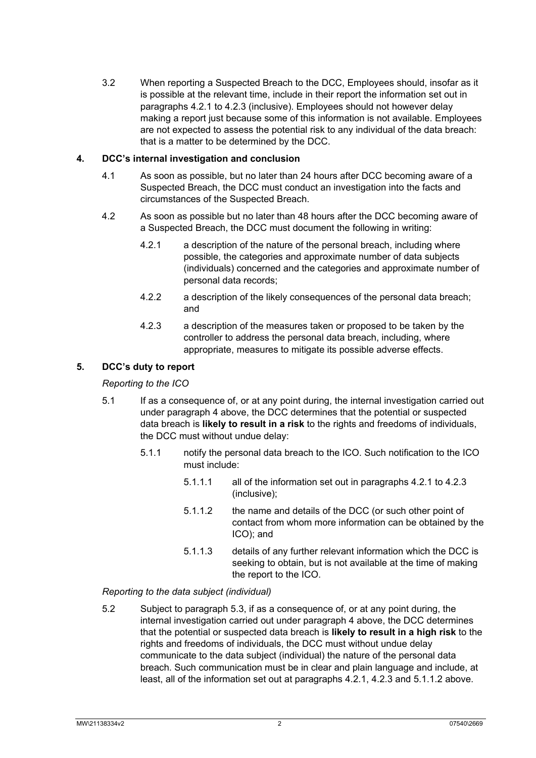3.2 When reporting a Suspected Breach to the DCC, Employees should, insofar as it is possible at the relevant time, include in their report the information set out in paragraphs [4.2.1](#page-1-0) to [4.2.3](#page-1-1) (inclusive). Employees should not however delay making a report just because some of this information is not available. Employees are not expected to assess the potential risk to any individual of the data breach: that is a matter to be determined by the DCC.

## <span id="page-1-2"></span>**4. DCC's internal investigation and conclusion**

- 4.1 As soon as possible, but no later than 24 hours after DCC becoming aware of a Suspected Breach, the DCC must conduct an investigation into the facts and circumstances of the Suspected Breach.
- <span id="page-1-0"></span>4.2 As soon as possible but no later than 48 hours after the DCC becoming aware of a Suspected Breach, the DCC must document the following in writing:
	- 4.2.1 a description of the nature of the personal breach, including where possible, the categories and approximate number of data subjects (individuals) concerned and the categories and approximate number of personal data records;
	- 4.2.2 a description of the likely consequences of the personal data breach; and
	- 4.2.3 a description of the measures taken or proposed to be taken by the controller to address the personal data breach, including, where appropriate, measures to mitigate its possible adverse effects.

## <span id="page-1-1"></span>**5. DCC's duty to report**

## *Reporting to the ICO*

- 5.1 If as a consequence of, or at any point during, the internal investigation carried out under paragraph [4](#page-1-2) above, the DCC determines that the potential or suspected data breach is **likely to result in a risk** to the rights and freedoms of individuals, the DCC must without undue delay:
	- 5.1.1 notify the personal data breach to the ICO. Such notification to the ICO must include:
		- 5.1.1.1 all of the information set out in paragraphs [4.2.1](#page-1-0) to [4.2.3](#page-1-1) (inclusive);
		- 5.1.1.2 the name and details of the DCC (or such other point of contact from whom more information can be obtained by the ICO); and
		- 5.1.1.3 details of any further relevant information which the DCC is seeking to obtain, but is not available at the time of making the report to the ICO.

## <span id="page-1-3"></span>*Reporting to the data subject (individual)*

<span id="page-1-4"></span>5.2 Subject to paragraph [5.3,](#page-2-0) if as a consequence of, or at any point during, the internal investigation carried out under paragraph [4](#page-1-2) above, the DCC determines that the potential or suspected data breach is **likely to result in a high risk** to the rights and freedoms of individuals, the DCC must without undue delay communicate to the data subject (individual) the nature of the personal data breach. Such communication must be in clear and plain language and include, at least, all of the information set out at paragraphs [4.2.1,](#page-1-0) [4.2.3](#page-1-1) and [5.1.1.2](#page-1-3) above.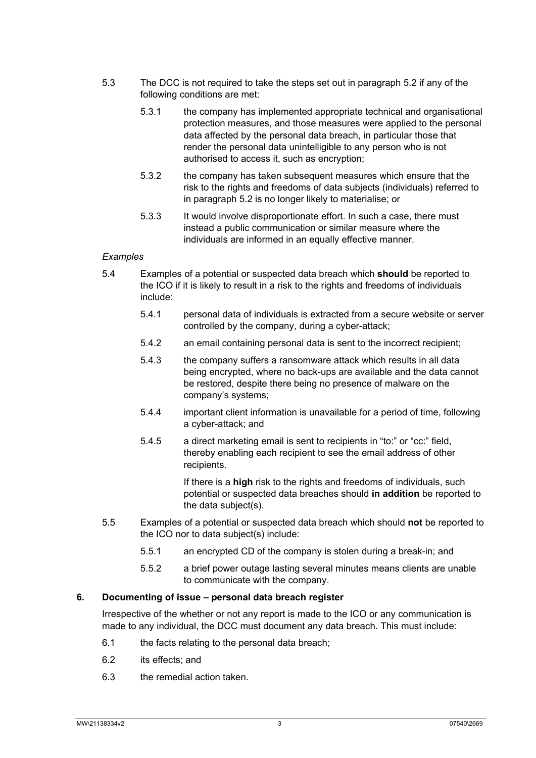- <span id="page-2-0"></span>5.3 The DCC is not required to take the steps set out in paragraph [5.2](#page-1-4) if any of the following conditions are met:
	- 5.3.1 the company has implemented appropriate technical and organisational protection measures, and those measures were applied to the personal data affected by the personal data breach, in particular those that render the personal data unintelligible to any person who is not authorised to access it, such as encryption;
	- 5.3.2 the company has taken subsequent measures which ensure that the risk to the rights and freedoms of data subjects (individuals) referred to in paragraph [5.2](#page-1-4) is no longer likely to materialise; or
	- 5.3.3 It would involve disproportionate effort. In such a case, there must instead a public communication or similar measure where the individuals are informed in an equally effective manner.

#### *Examples*

- 5.4 Examples of a potential or suspected data breach which **should** be reported to the ICO if it is likely to result in a risk to the rights and freedoms of individuals include:
	- 5.4.1 personal data of individuals is extracted from a secure website or server controlled by the company, during a cyber-attack;
	- 5.4.2 an email containing personal data is sent to the incorrect recipient;
	- 5.4.3 the company suffers a ransomware attack which results in all data being encrypted, where no back-ups are available and the data cannot be restored, despite there being no presence of malware on the company's systems;
	- 5.4.4 important client information is unavailable for a period of time, following a cyber-attack; and
	- 5.4.5 a direct marketing email is sent to recipients in "to:" or "cc:" field, thereby enabling each recipient to see the email address of other recipients.

If there is a **high** risk to the rights and freedoms of individuals, such potential or suspected data breaches should **in addition** be reported to the data subject(s).

- 5.5 Examples of a potential or suspected data breach which should **not** be reported to the ICO nor to data subject(s) include:
	- 5.5.1 an encrypted CD of the company is stolen during a break-in; and
	- 5.5.2 a brief power outage lasting several minutes means clients are unable to communicate with the company.

#### **6. Documenting of issue – personal data breach register**

Irrespective of the whether or not any report is made to the ICO or any communication is made to any individual, the DCC must document any data breach. This must include:

- 6.1 the facts relating to the personal data breach;
- 6.2 its effects; and
- 6.3 the remedial action taken.